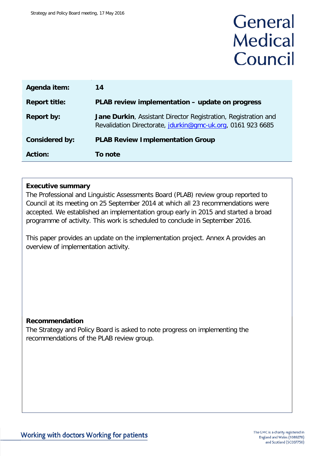# General **Medical** Council

| Agenda item:          | 14                                                                                                                                   |
|-----------------------|--------------------------------------------------------------------------------------------------------------------------------------|
| <b>Report title:</b>  | PLAB review implementation - update on progress                                                                                      |
| <b>Report by:</b>     | <b>Jane Durkin, Assistant Director Registration, Registration and</b><br>Revalidation Directorate, jdurkin@gmc-uk.org, 0161 923 6685 |
| <b>Considered by:</b> | <b>PLAB Review Implementation Group</b>                                                                                              |
| <b>Action:</b>        | To note                                                                                                                              |

### **Executive summary**

The Professional and Linguistic Assessments Board (PLAB) review group reported to Council at its meeting on 25 September 2014 at which all 23 recommendations were accepted. We established an implementation group early in 2015 and started a broad programme of activity. This work is scheduled to conclude in September 2016.

This paper provides an update on the implementation project. Annex A provides an overview of implementation activity.

#### **Recommendation**

The Strategy and Policy Board is asked to note progress on implementing the recommendations of the PLAB review group.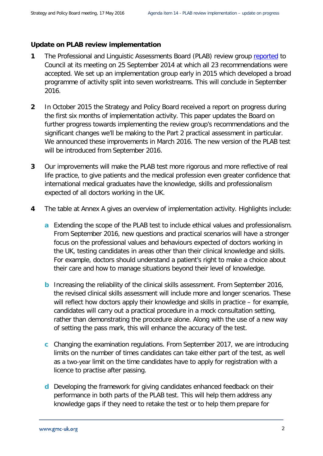### **Update on PLAB review implementation**

- **1** The Professional and Linguistic Assessments Board (PLAB) review group [reported](http://www.gmc-uk.org/PLAB_review_final.pdf_57946943.pdf) to Council at its meeting on 25 September 2014 at which all 23 recommendations were accepted. We set up an implementation group early in 2015 which developed a broad programme of activity split into seven workstreams. This will conclude in September 2016.
- **2** In October 2015 the Strategy and Policy Board received a report on progress during the first six months of implementation activity. This paper updates the Board on further progress towards implementing the review group's recommendations and the significant changes we'll be making to the Part 2 practical assessment in particular. We announced these improvements in March 2016. The new version of the PLAB test will be introduced from September 2016.
- **3** Our improvements will make the PLAB test more rigorous and more reflective of real life practice, to give patients and the medical profession even greater confidence that international medical graduates have the knowledge, skills and professionalism expected of all doctors working in the UK.
- **4** The table at Annex A gives an overview of implementation activity. Highlights include:
	- **a** Extending the scope of the PLAB test to include ethical values and professionalism. From September 2016, new questions and practical scenarios will have a stronger focus on the professional values and behaviours expected of doctors working in the UK, testing candidates in areas other than their clinical knowledge and skills. For example, doctors should understand a patient's right to make a choice about their care and how to manage situations beyond their level of knowledge.
	- **b** Increasing the reliability of the clinical skills assessment. From September 2016, the revised clinical skills assessment will include more and longer scenarios. These will reflect how doctors apply their knowledge and skills in practice – for example, candidates will carry out a practical procedure in a mock consultation setting, rather than demonstrating the procedure alone. Along with the use of a new way of setting the pass mark, this will enhance the accuracy of the test.
	- **c** Changing the examination regulations. From September 2017, we are introducing limits on the number of times candidates can take either part of the test, as well as a two-year limit on the time candidates have to apply for registration with a licence to practise after passing.
	- **d** Developing the framework for giving candidates enhanced feedback on their performance in both parts of the PLAB test. This will help them address any knowledge gaps if they need to retake the test or to help them prepare for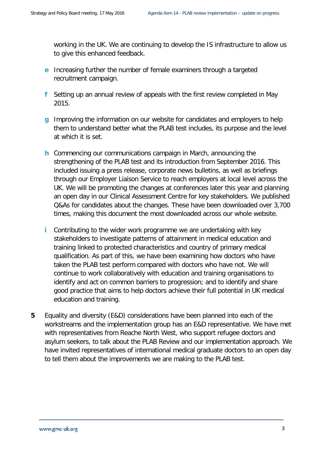working in the UK. We are continuing to develop the IS infrastructure to allow us to give this enhanced feedback.

- **e** Increasing further the number of female examiners through a targeted recruitment campaign.
- **f** Setting up an annual review of appeals with the first review completed in May 2015.
- **g** Improving the information on our website for candidates and employers to help them to understand better what the PLAB test includes, its purpose and the level at which it is set.
- **h** Commencing our communications campaign in March, announcing the strengthening of the PLAB test and its introduction from September 2016. This included issuing a press release, corporate news bulletins, as well as briefings through our Employer Liaison Service to reach employers at local level across the UK. We will be promoting the changes at conferences later this year and planning an open day in our Clinical Assessment Centre for key stakeholders. We published Q&As for candidates about the changes. These have been downloaded over 3,700 times, making this document the most downloaded across our whole website.
- **i** Contributing to the wider work programme we are undertaking with key stakeholders to investigate patterns of attainment in medical education and training linked to protected characteristics and country of primary medical qualification. As part of this, we have been examining how doctors who have taken the PLAB test perform compared with doctors who have not. We will continue to work collaboratively with education and training organisations to identify and act on common barriers to progression; and to identify and share good practice that aims to help doctors achieve their full potential in UK medical education and training.
- **5** Equality and diversity (E&D) considerations have been planned into each of the workstreams and the implementation group has an E&D representative. We have met with representatives from Reache North West, who support refugee doctors and asylum seekers, to talk about the PLAB Review and our implementation approach. We have invited representatives of international medical graduate doctors to an open day to tell them about the improvements we are making to the PLAB test.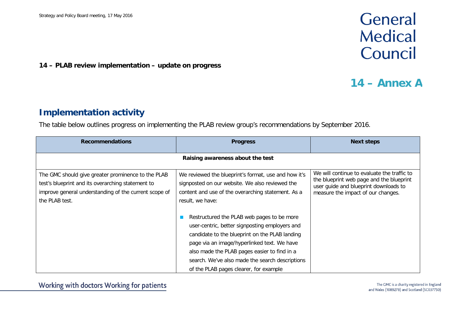## General **Medical** Council

### **14 – PLAB review implementation – update on progress**

### **14 – Annex A**

### **Implementation activity**

The table below outlines progress on implementing the PLAB review group's recommendations by September 2016.

| <b>Recommendations</b>                                                                                                                                                             | <b>Progress</b>                                                                                                                                                                                                                                                                                                                                                                                                                    | <b>Next steps</b>                                                                                                                                                      |  |
|------------------------------------------------------------------------------------------------------------------------------------------------------------------------------------|------------------------------------------------------------------------------------------------------------------------------------------------------------------------------------------------------------------------------------------------------------------------------------------------------------------------------------------------------------------------------------------------------------------------------------|------------------------------------------------------------------------------------------------------------------------------------------------------------------------|--|
| Raising awareness about the test                                                                                                                                                   |                                                                                                                                                                                                                                                                                                                                                                                                                                    |                                                                                                                                                                        |  |
| The GMC should give greater prominence to the PLAB<br>test's blueprint and its overarching statement to<br>improve general understanding of the current scope of<br>the PLAB test. | We reviewed the blueprint's format, use and how it's<br>signposted on our website. We also reviewed the<br>content and use of the overarching statement. As a<br>result, we have:<br>Restructured the PLAB web pages to be more<br>user-centric, better signposting employers and<br>candidate to the blueprint on the PLAB landing<br>page via an image/hyperlinked text. We have<br>also made the PLAB pages easier to find in a | We will continue to evaluate the traffic to<br>the blueprint web page and the blueprint<br>user guide and blueprint downloads to<br>measure the impact of our changes. |  |
|                                                                                                                                                                                    | search. We've also made the search descriptions<br>of the PLAB pages clearer, for example                                                                                                                                                                                                                                                                                                                                          |                                                                                                                                                                        |  |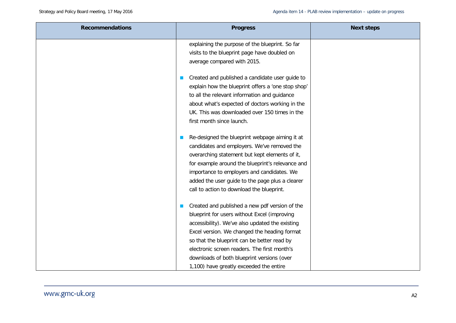| <b>Recommendations</b> | <b>Progress</b>                                                                                                                                                                                                                                                                                                                                                                           | <b>Next steps</b> |
|------------------------|-------------------------------------------------------------------------------------------------------------------------------------------------------------------------------------------------------------------------------------------------------------------------------------------------------------------------------------------------------------------------------------------|-------------------|
|                        | explaining the purpose of the blueprint. So far<br>visits to the blueprint page have doubled on<br>average compared with 2015.                                                                                                                                                                                                                                                            |                   |
|                        | Created and published a candidate user guide to<br>explain how the blueprint offers a 'one stop shop'<br>to all the relevant information and guidance<br>about what's expected of doctors working in the<br>UK. This was downloaded over 150 times in the<br>first month since launch.                                                                                                    |                   |
|                        | Re-designed the blueprint webpage aiming it at<br>candidates and employers. We've removed the<br>overarching statement but kept elements of it,<br>for example around the blueprint's relevance and<br>importance to employers and candidates. We<br>added the user guide to the page plus a clearer<br>call to action to download the blueprint.                                         |                   |
|                        | Created and published a new pdf version of the<br>blueprint for users without Excel (improving<br>accessibility). We've also updated the existing<br>Excel version. We changed the heading format<br>so that the blueprint can be better read by<br>electronic screen readers. The first month's<br>downloads of both blueprint versions (over<br>1,100) have greatly exceeded the entire |                   |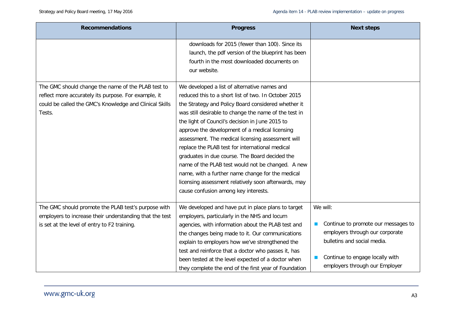| <b>Recommendations</b>                                                                                                                                                          | <b>Progress</b>                                                                                                                                                                                                                                                                                                                                                                                                                                                                                                                                                                                                                                                                              | <b>Next steps</b>                                                                                                                                                                      |
|---------------------------------------------------------------------------------------------------------------------------------------------------------------------------------|----------------------------------------------------------------------------------------------------------------------------------------------------------------------------------------------------------------------------------------------------------------------------------------------------------------------------------------------------------------------------------------------------------------------------------------------------------------------------------------------------------------------------------------------------------------------------------------------------------------------------------------------------------------------------------------------|----------------------------------------------------------------------------------------------------------------------------------------------------------------------------------------|
|                                                                                                                                                                                 | downloads for 2015 (fewer than 100). Since its<br>launch, the pdf version of the blueprint has been<br>fourth in the most downloaded documents on<br>our website.                                                                                                                                                                                                                                                                                                                                                                                                                                                                                                                            |                                                                                                                                                                                        |
| The GMC should change the name of the PLAB test to<br>reflect more accurately its purpose. For example, it<br>could be called the GMC's Knowledge and Clinical Skills<br>Tests. | We developed a list of alternative names and<br>reduced this to a short list of two. In October 2015<br>the Strategy and Policy Board considered whether it<br>was still desirable to change the name of the test in<br>the light of Council's decision in June 2015 to<br>approve the development of a medical licensing<br>assessment. The medical licensing assessment will<br>replace the PLAB test for international medical<br>graduates in due course. The Board decided the<br>name of the PLAB test would not be changed. A new<br>name, with a further name change for the medical<br>licensing assessment relatively soon afterwards, may<br>cause confusion among key interests. |                                                                                                                                                                                        |
| The GMC should promote the PLAB test's purpose with<br>employers to increase their understanding that the test<br>is set at the level of entry to F2 training.                  | We developed and have put in place plans to target<br>employers, particularly in the NHS and locum<br>agencies, with information about the PLAB test and<br>the changes being made to it. Our communications<br>explain to employers how we've strengthened the<br>test and reinforce that a doctor who passes it, has<br>been tested at the level expected of a doctor when<br>they complete the end of the first year of Foundation                                                                                                                                                                                                                                                        | We will:<br>Continue to promote our messages to<br>employers through our corporate<br>bulletins and social media.<br>Continue to engage locally with<br>employers through our Employer |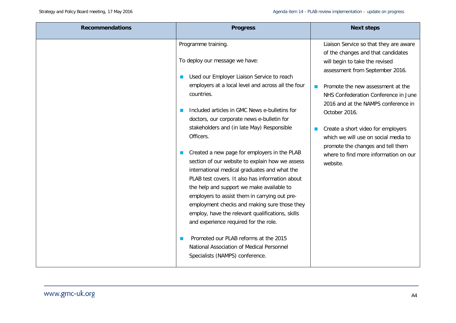| <b>Recommendations</b> | <b>Progress</b>                                                                                                                                                                                                                                                                                                                                                                                                                               | <b>Next steps</b>                                                                      |
|------------------------|-----------------------------------------------------------------------------------------------------------------------------------------------------------------------------------------------------------------------------------------------------------------------------------------------------------------------------------------------------------------------------------------------------------------------------------------------|----------------------------------------------------------------------------------------|
|                        | Programme training.                                                                                                                                                                                                                                                                                                                                                                                                                           | Liaison Service so that they are aware<br>of the changes and that candidates           |
|                        | To deploy our message we have:                                                                                                                                                                                                                                                                                                                                                                                                                | will begin to take the revised<br>assessment from September 2016.                      |
|                        | Used our Employer Liaison Service to reach                                                                                                                                                                                                                                                                                                                                                                                                    |                                                                                        |
|                        | employers at a local level and across all the four                                                                                                                                                                                                                                                                                                                                                                                            | Promote the new assessment at the<br><b>College</b>                                    |
|                        | countries.                                                                                                                                                                                                                                                                                                                                                                                                                                    | NHS Confederation Conference in June                                                   |
|                        | Included articles in GMC News e-bulletins for<br>doctors, our corporate news e-bulletin for                                                                                                                                                                                                                                                                                                                                                   | 2016 and at the NAMPS conference in<br>October 2016.                                   |
|                        | stakeholders and (in late May) Responsible<br>Officers.                                                                                                                                                                                                                                                                                                                                                                                       | Create a short video for employers<br>which we will use on social media to             |
|                        | Created a new page for employers in the PLAB<br>section of our website to explain how we assess<br>international medical graduates and what the<br>PLAB test covers. It also has information about<br>the help and support we make available to<br>employers to assist them in carrying out pre-<br>employment checks and making sure those they<br>employ, have the relevant qualifications, skills<br>and experience required for the role. | promote the changes and tell them<br>where to find more information on our<br>website. |
|                        | Promoted our PLAB reforms at the 2015<br>National Association of Medical Personnel<br>Specialists (NAMPS) conference.                                                                                                                                                                                                                                                                                                                         |                                                                                        |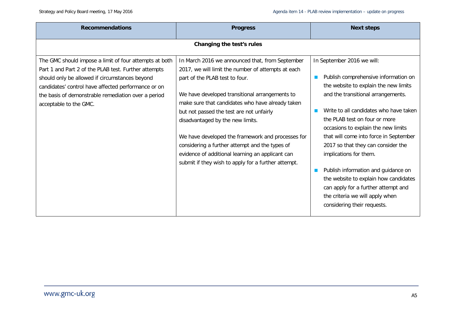| <b>Recommendations</b>                                                                                                                                                                                                                                                                                   | <b>Progress</b>                                                                                                                                                                                                                                                                                                                                                                                                                                                                                                                                 | <b>Next steps</b>                                                                                                                                                                                                                                                                                                                                                                                                                                                                                                                                                      |
|----------------------------------------------------------------------------------------------------------------------------------------------------------------------------------------------------------------------------------------------------------------------------------------------------------|-------------------------------------------------------------------------------------------------------------------------------------------------------------------------------------------------------------------------------------------------------------------------------------------------------------------------------------------------------------------------------------------------------------------------------------------------------------------------------------------------------------------------------------------------|------------------------------------------------------------------------------------------------------------------------------------------------------------------------------------------------------------------------------------------------------------------------------------------------------------------------------------------------------------------------------------------------------------------------------------------------------------------------------------------------------------------------------------------------------------------------|
|                                                                                                                                                                                                                                                                                                          | Changing the test's rules                                                                                                                                                                                                                                                                                                                                                                                                                                                                                                                       |                                                                                                                                                                                                                                                                                                                                                                                                                                                                                                                                                                        |
| The GMC should impose a limit of four attempts at both<br>Part 1 and Part 2 of the PLAB test. Further attempts<br>should only be allowed if circumstances beyond<br>candidates' control have affected performance or on<br>the basis of demonstrable remediation over a period<br>acceptable to the GMC. | In March 2016 we announced that, from September<br>2017, we will limit the number of attempts at each<br>part of the PLAB test to four.<br>We have developed transitional arrangements to<br>make sure that candidates who have already taken<br>but not passed the test are not unfairly<br>disadvantaged by the new limits.<br>We have developed the framework and processes for<br>considering a further attempt and the types of<br>evidence of additional learning an applicant can<br>submit if they wish to apply for a further attempt. | In September 2016 we will:<br>Publish comprehensive information on<br>the website to explain the new limits<br>and the transitional arrangements.<br>Write to all candidates who have taken<br>the PLAB test on four or more<br>occasions to explain the new limits<br>that will come into force in September<br>2017 so that they can consider the<br>implications for them.<br>Publish information and guidance on<br>the website to explain how candidates<br>can apply for a further attempt and<br>the criteria we will apply when<br>considering their requests. |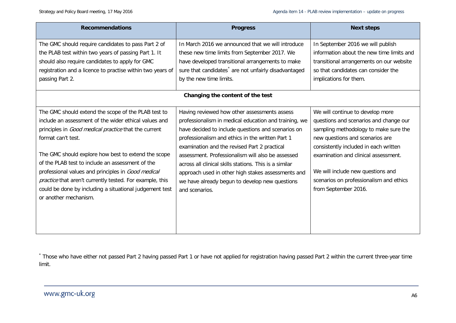<span id="page-8-0"></span>

| <b>Recommendations</b>                                                                                                                                                                                                                                                                                                                                                                                                                                                                                      | <b>Progress</b>                                                                                                                                                                                                                                                                                                                                                                                                                                                                                          | <b>Next steps</b>                                                                                                                                                                                                                                                                                                                               |
|-------------------------------------------------------------------------------------------------------------------------------------------------------------------------------------------------------------------------------------------------------------------------------------------------------------------------------------------------------------------------------------------------------------------------------------------------------------------------------------------------------------|----------------------------------------------------------------------------------------------------------------------------------------------------------------------------------------------------------------------------------------------------------------------------------------------------------------------------------------------------------------------------------------------------------------------------------------------------------------------------------------------------------|-------------------------------------------------------------------------------------------------------------------------------------------------------------------------------------------------------------------------------------------------------------------------------------------------------------------------------------------------|
| The GMC should require candidates to pass Part 2 of<br>the PLAB test within two years of passing Part 1. It<br>should also require candidates to apply for GMC<br>registration and a licence to practise within two years of<br>passing Part 2.                                                                                                                                                                                                                                                             | In March 2016 we announced that we will introduce<br>these new time limits from September 2017. We<br>have developed transitional arrangements to make<br>sure that candidates <sup>*</sup> are not unfairly disadvantaged<br>by the new time limits.                                                                                                                                                                                                                                                    | In September 2016 we will publish<br>information about the new time limits and<br>transitional arrangements on our website<br>so that candidates can consider the<br>implications for them.                                                                                                                                                     |
|                                                                                                                                                                                                                                                                                                                                                                                                                                                                                                             | Changing the content of the test                                                                                                                                                                                                                                                                                                                                                                                                                                                                         |                                                                                                                                                                                                                                                                                                                                                 |
| The GMC should extend the scope of the PLAB test to<br>include an assessment of the wider ethical values and<br>principles in Good medical practice that the current<br>format can't test.<br>The GMC should explore how best to extend the scope<br>of the PLAB test to include an assessment of the<br>professional values and principles in Good medical<br>practice that aren't currently tested. For example, this<br>could be done by including a situational judgement test<br>or another mechanism. | Having reviewed how other assessments assess<br>professionalism in medical education and training, we<br>have decided to include questions and scenarios on<br>professionalism and ethics in the written Part 1<br>examination and the revised Part 2 practical<br>assessment. Professionalism will also be assessed<br>across all clinical skills stations. This is a similar<br>approach used in other high stakes assessments and<br>we have already begun to develop new questions<br>and scenarios. | We will continue to develop more<br>questions and scenarios and change our<br>sampling methodology to make sure the<br>new questions and scenarios are<br>consistently included in each written<br>examination and clinical assessment.<br>We will include new questions and<br>scenarios on professionalism and ethics<br>from September 2016. |

\* Those who have either not passed Part 2 having passed Part 1 or have not applied for registration having passed Part 2 within the current three-year time limit.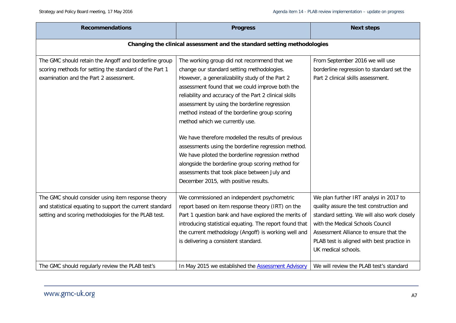| <b>Recommendations</b>                                                                                                                                                 | <b>Progress</b>                                                                                                                                                                                                                                                                                                                                                                                                                                                                                                                                                                                                                                                                                               | <b>Next steps</b>                                                                                                                                                                                                                                                                    |  |
|------------------------------------------------------------------------------------------------------------------------------------------------------------------------|---------------------------------------------------------------------------------------------------------------------------------------------------------------------------------------------------------------------------------------------------------------------------------------------------------------------------------------------------------------------------------------------------------------------------------------------------------------------------------------------------------------------------------------------------------------------------------------------------------------------------------------------------------------------------------------------------------------|--------------------------------------------------------------------------------------------------------------------------------------------------------------------------------------------------------------------------------------------------------------------------------------|--|
| Changing the clinical assessment and the standard setting methodologies                                                                                                |                                                                                                                                                                                                                                                                                                                                                                                                                                                                                                                                                                                                                                                                                                               |                                                                                                                                                                                                                                                                                      |  |
| The GMC should retain the Angoff and borderline group<br>scoring methods for setting the standard of the Part 1<br>examination and the Part 2 assessment.              | The working group did not recommend that we<br>change our standard setting methodologies.<br>However, a generalizability study of the Part 2<br>assessment found that we could improve both the<br>reliability and accuracy of the Part 2 clinical skills<br>assessment by using the borderline regression<br>method instead of the borderline group scoring<br>method which we currently use.<br>We have therefore modelled the results of previous<br>assessments using the borderline regression method.<br>We have piloted the borderline regression method<br>alongside the borderline group scoring method for<br>assessments that took place between July and<br>December 2015, with positive results. | From September 2016 we will use<br>borderline regression to standard set the<br>Part 2 clinical skills assessment.                                                                                                                                                                   |  |
| The GMC should consider using item response theory<br>and statistical equating to support the current standard<br>setting and scoring methodologies for the PLAB test. | We commissioned an independent psychometric<br>report based on item response theory (IRT) on the<br>Part 1 question bank and have explored the merits of<br>introducing statistical equating. The report found that<br>the current methodology (Angoff) is working well and<br>is delivering a consistent standard.                                                                                                                                                                                                                                                                                                                                                                                           | We plan further IRT analysi in 2017 to<br>quality assure the test construction and<br>standard setting. We will also work closely<br>with the Medical Schools Council<br>Assessment Alliance to ensure that the<br>PLAB test is aligned with best practice in<br>UK medical schools. |  |
| The GMC should regularly review the PLAB test's                                                                                                                        | In May 2015 we established the <b>Assessment Advisory</b>                                                                                                                                                                                                                                                                                                                                                                                                                                                                                                                                                                                                                                                     | We will review the PLAB test's standard                                                                                                                                                                                                                                              |  |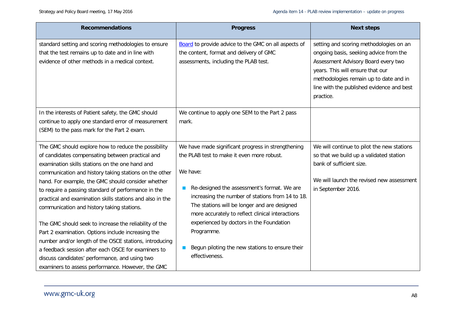| <b>Recommendations</b>                                                                                                                                                                                                                                                                                                                                                                                                                                                                                                                                                                                                                                                         | <b>Progress</b>                                                                                                                                                                                                                                                                                                                                                                                                                  | <b>Next steps</b>                                                                                                                                                                                                                                                |
|--------------------------------------------------------------------------------------------------------------------------------------------------------------------------------------------------------------------------------------------------------------------------------------------------------------------------------------------------------------------------------------------------------------------------------------------------------------------------------------------------------------------------------------------------------------------------------------------------------------------------------------------------------------------------------|----------------------------------------------------------------------------------------------------------------------------------------------------------------------------------------------------------------------------------------------------------------------------------------------------------------------------------------------------------------------------------------------------------------------------------|------------------------------------------------------------------------------------------------------------------------------------------------------------------------------------------------------------------------------------------------------------------|
| standard setting and scoring methodologies to ensure<br>that the test remains up to date and in line with<br>evidence of other methods in a medical context.                                                                                                                                                                                                                                                                                                                                                                                                                                                                                                                   | <b>Board</b> to provide advice to the GMC on all aspects of<br>the content, format and delivery of GMC<br>assessments, including the PLAB test.                                                                                                                                                                                                                                                                                  | setting and scoring methodologies on an<br>ongoing basis, seeking advice from the<br>Assessment Advisory Board every two<br>years. This will ensure that our<br>methodologies remain up to date and in<br>line with the published evidence and best<br>practice. |
| In the interests of Patient safety, the GMC should<br>continue to apply one standard error of measurement<br>(SEM) to the pass mark for the Part 2 exam.                                                                                                                                                                                                                                                                                                                                                                                                                                                                                                                       | We continue to apply one SEM to the Part 2 pass<br>mark.                                                                                                                                                                                                                                                                                                                                                                         |                                                                                                                                                                                                                                                                  |
| The GMC should explore how to reduce the possibility<br>of candidates compensating between practical and<br>examination skills stations on the one hand and<br>communication and history taking stations on the other<br>hand. For example, the GMC should consider whether<br>to require a passing standard of performance in the<br>practical and examination skills stations and also in the<br>communication and history taking stations.<br>The GMC should seek to increase the reliability of the<br>Part 2 examination. Options include increasing the<br>number and/or length of the OSCE stations, introducing<br>a feedback session after each OSCE for examiners to | We have made significant progress in strengthening<br>the PLAB test to make it even more robust.<br>We have:<br>Re-designed the assessment's format. We are<br>increasing the number of stations from 14 to 18.<br>The stations will be longer and are designed<br>more accurately to reflect clinical interactions<br>experienced by doctors in the Foundation<br>Programme.<br>Begun piloting the new stations to ensure their | We will continue to pilot the new stations<br>so that we build up a validated station<br>bank of sufficient size.<br>We will launch the revised new assessment<br>in September 2016.                                                                             |
| discuss candidates' performance, and using two<br>examiners to assess performance. However, the GMC                                                                                                                                                                                                                                                                                                                                                                                                                                                                                                                                                                            | effectiveness.                                                                                                                                                                                                                                                                                                                                                                                                                   |                                                                                                                                                                                                                                                                  |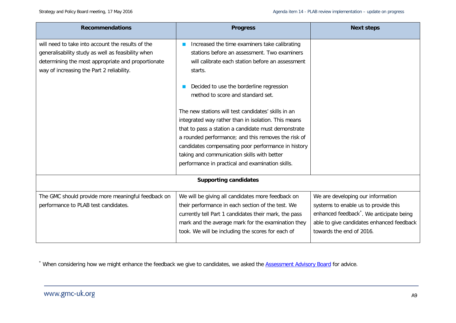<span id="page-11-0"></span>

| <b>Recommendations</b>                                                                                                                                                                                     | <b>Progress</b>                                                                                                                                              | <b>Next steps</b>                                    |
|------------------------------------------------------------------------------------------------------------------------------------------------------------------------------------------------------------|--------------------------------------------------------------------------------------------------------------------------------------------------------------|------------------------------------------------------|
| will need to take into account the results of the<br>generalisability study as well as feasibility when<br>determining the most appropriate and proportionate<br>way of increasing the Part 2 reliability. | Increased the time examiners take calibrating<br>stations before an assessment. Two examiners<br>will calibrate each station before an assessment<br>starts. |                                                      |
|                                                                                                                                                                                                            | Decided to use the borderline regression<br>method to score and standard set.                                                                                |                                                      |
|                                                                                                                                                                                                            | The new stations will test candidates' skills in an                                                                                                          |                                                      |
|                                                                                                                                                                                                            | integrated way rather than in isolation. This means                                                                                                          |                                                      |
|                                                                                                                                                                                                            | that to pass a station a candidate must demonstrate                                                                                                          |                                                      |
|                                                                                                                                                                                                            | a rounded performance; and this removes the risk of                                                                                                          |                                                      |
|                                                                                                                                                                                                            | candidates compensating poor performance in history                                                                                                          |                                                      |
|                                                                                                                                                                                                            | taking and communication skills with better                                                                                                                  |                                                      |
|                                                                                                                                                                                                            | performance in practical and examination skills.                                                                                                             |                                                      |
|                                                                                                                                                                                                            | <b>Supporting candidates</b>                                                                                                                                 |                                                      |
| The GMC should provide more meaningful feedback on                                                                                                                                                         | We will be giving all candidates more feedback on                                                                                                            | We are developing our information                    |
| performance to PLAB test candidates.                                                                                                                                                                       | their performance in each section of the test. We                                                                                                            | systems to enable us to provide this                 |
|                                                                                                                                                                                                            | currently tell Part 1 candidates their mark, the pass                                                                                                        | enhanced feedback <sup>*</sup> . We anticipate being |
|                                                                                                                                                                                                            | mark and the average mark for the examination they                                                                                                           | able to give candidates enhanced feedback            |
|                                                                                                                                                                                                            | took. We will be including the scores for each of                                                                                                            | towards the end of 2016.                             |
|                                                                                                                                                                                                            |                                                                                                                                                              |                                                      |

\* When considering how we might enhance the feedback we give to candidates, we asked the **Assessment Advisory Board** for advice.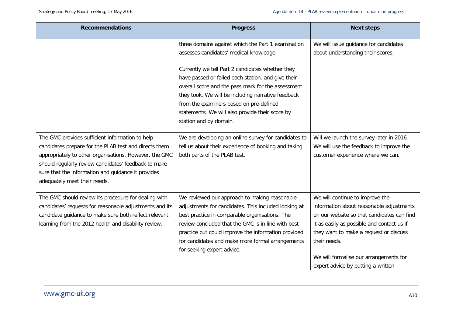| <b>Recommendations</b>                                                                                                                                                                                                                                                                                           | <b>Progress</b>                                                                                                                                                                                                                                                                                                                                        | <b>Next steps</b>                                                                                                                                                                                                                                                                                                 |
|------------------------------------------------------------------------------------------------------------------------------------------------------------------------------------------------------------------------------------------------------------------------------------------------------------------|--------------------------------------------------------------------------------------------------------------------------------------------------------------------------------------------------------------------------------------------------------------------------------------------------------------------------------------------------------|-------------------------------------------------------------------------------------------------------------------------------------------------------------------------------------------------------------------------------------------------------------------------------------------------------------------|
|                                                                                                                                                                                                                                                                                                                  | three domains against which the Part 1 examination                                                                                                                                                                                                                                                                                                     | We will issue guidance for candidates                                                                                                                                                                                                                                                                             |
|                                                                                                                                                                                                                                                                                                                  | assesses candidates' medical knowledge.                                                                                                                                                                                                                                                                                                                | about understanding their scores.                                                                                                                                                                                                                                                                                 |
|                                                                                                                                                                                                                                                                                                                  | Currently we tell Part 2 candidates whether they<br>have passed or failed each station, and give their<br>overall score and the pass mark for the assessment<br>they took. We will be including narrative feedback<br>from the examiners based on pre-defined<br>statements. We will also provide their score by<br>station and by domain.             |                                                                                                                                                                                                                                                                                                                   |
| The GMC provides sufficient information to help<br>candidates prepare for the PLAB test and directs them<br>appropriately to other organisations. However, the GMC<br>should regularly review candidates' feedback to make<br>sure that the information and guidance it provides<br>adequately meet their needs. | We are developing an online survey for candidates to<br>tell us about their experience of booking and taking<br>both parts of the PLAB test.                                                                                                                                                                                                           | Will we launch the survey later in 2016.<br>We will use the feedback to improve the<br>customer experience where we can.                                                                                                                                                                                          |
| The GMC should review its procedure for dealing with<br>candidates' requests for reasonable adjustments and its<br>candidate guidance to make sure both reflect relevant<br>learning from the 2012 health and disability review.                                                                                 | We reviewed our approach to making reasonable<br>adjustments for candidates. This included looking at<br>best practice in comparable organisations. The<br>review concluded that the GMC is in line with best<br>practice but could improve the information provided<br>for candidates and make more formal arrangements<br>for seeking expert advice. | We will continue to improve the<br>information about reasonable adjustments<br>on our website so that candidates can find<br>it as easily as possible and contact us if<br>they want to make a request or discuss<br>their needs.<br>We will formalise our arrangements for<br>expert advice by putting a written |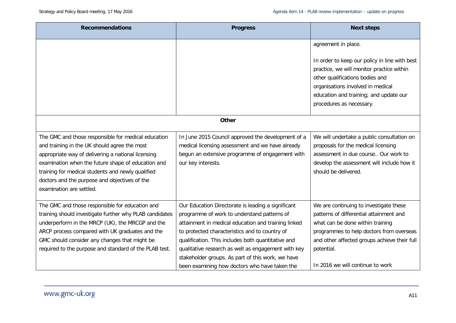| <b>Recommendations</b>                                                                                                                                                                                                                                                                                                                            | <b>Progress</b>                                                                                                                                                                                                                                                                                                                                                                                                               | <b>Next steps</b>                                                                                                                                                                                                                                                   |
|---------------------------------------------------------------------------------------------------------------------------------------------------------------------------------------------------------------------------------------------------------------------------------------------------------------------------------------------------|-------------------------------------------------------------------------------------------------------------------------------------------------------------------------------------------------------------------------------------------------------------------------------------------------------------------------------------------------------------------------------------------------------------------------------|---------------------------------------------------------------------------------------------------------------------------------------------------------------------------------------------------------------------------------------------------------------------|
|                                                                                                                                                                                                                                                                                                                                                   |                                                                                                                                                                                                                                                                                                                                                                                                                               | agreement in place.                                                                                                                                                                                                                                                 |
|                                                                                                                                                                                                                                                                                                                                                   |                                                                                                                                                                                                                                                                                                                                                                                                                               | In order to keep our policy in line with best<br>practice, we will monitor practice within<br>other qualifications bodies and<br>organisations involved in medical<br>education and training; and update our<br>procedures as necessary.                            |
|                                                                                                                                                                                                                                                                                                                                                   | <b>Other</b>                                                                                                                                                                                                                                                                                                                                                                                                                  |                                                                                                                                                                                                                                                                     |
| The GMC and those responsible for medical education<br>and training in the UK should agree the most<br>appropriate way of delivering a national licensing<br>examination when the future shape of education and<br>training for medical students and newly qualified<br>doctors and the purpose and objectives of the<br>examination are settled. | In June 2015 Council approved the development of a<br>medical licensing assessment and we have already<br>begun an extensive programme of engagement with<br>our key interests.                                                                                                                                                                                                                                               | We will undertake a public consultation on<br>proposals for the medical licensing<br>assessment in due course Our work to<br>develop the assessment will include how it<br>should be delivered.                                                                     |
| The GMC and those responsible for education and<br>training should investigate further why PLAB candidates<br>underperform in the MRCP (UK), the MRCGP and the<br>ARCP process compared with UK graduates and the<br>GMC should consider any changes that might be<br>required to the purpose and standard of the PLAB test.                      | Our Education Directorate is leading a significant<br>programme of work to understand patterns of<br>attainment in medical education and training linked<br>to protected characteristics and to country of<br>qualification. This includes both quantitative and<br>qualitative research as well as engagement with key<br>stakeholder groups. As part of this work, we have<br>been examining how doctors who have taken the | We are continuing to investigate these<br>patterns of differential attainment and<br>what can be done within training<br>programmes to help doctors from overseas<br>and other affected groups achieve their full<br>potential.<br>In 2016 we will continue to work |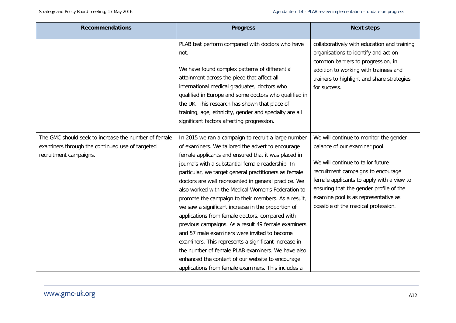| <b>Recommendations</b>                                                                                                            | <b>Progress</b>                                                                                                                                                                                                                                                                                                                                                                                                                                                                                                                                                                                                                                                                                                                                                                                                                                                                            | <b>Next steps</b>                                                                                                                                                                                                                                                                                                         |
|-----------------------------------------------------------------------------------------------------------------------------------|--------------------------------------------------------------------------------------------------------------------------------------------------------------------------------------------------------------------------------------------------------------------------------------------------------------------------------------------------------------------------------------------------------------------------------------------------------------------------------------------------------------------------------------------------------------------------------------------------------------------------------------------------------------------------------------------------------------------------------------------------------------------------------------------------------------------------------------------------------------------------------------------|---------------------------------------------------------------------------------------------------------------------------------------------------------------------------------------------------------------------------------------------------------------------------------------------------------------------------|
|                                                                                                                                   | PLAB test perform compared with doctors who have<br>not.<br>We have found complex patterns of differential<br>attainment across the piece that affect all<br>international medical graduates, doctors who<br>qualified in Europe and some doctors who qualified in<br>the UK. This research has shown that place of<br>training, age, ethnicity, gender and specialty are all<br>significant factors affecting progression.                                                                                                                                                                                                                                                                                                                                                                                                                                                                | collaboratively with education and training<br>organisations to identify and act on<br>common barriers to progression, in<br>addition to working with trainees and<br>trainers to highlight and share strategies<br>for success.                                                                                          |
| The GMC should seek to increase the number of female<br>examiners through the continued use of targeted<br>recruitment campaigns. | In 2015 we ran a campaign to recruit a large number<br>of examiners. We tailored the advert to encourage<br>female applicants and ensured that it was placed in<br>journals with a substantial female readership. In<br>particular, we target general practitioners as female<br>doctors are well represented in general practice. We<br>also worked with the Medical Women's Federation to<br>promote the campaign to their members. As a result,<br>we saw a significant increase in the proportion of<br>applications from female doctors, compared with<br>previous campaigns. As a result 49 female examiners<br>and 57 male examiners were invited to become<br>examiners. This represents a significant increase in<br>the number of female PLAB examiners. We have also<br>enhanced the content of our website to encourage<br>applications from female examiners. This includes a | We will continue to monitor the gender<br>balance of our examiner pool.<br>We will continue to tailor future<br>recruitment campaigns to encourage<br>female applicants to apply with a view to<br>ensuring that the gender profile of the<br>examine pool is as representative as<br>possible of the medical profession. |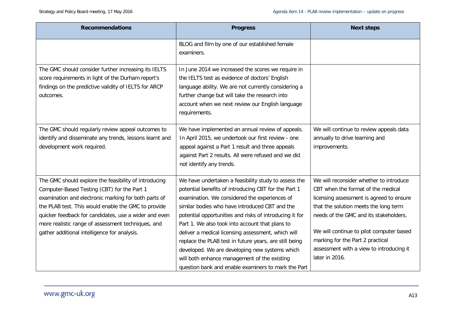| <b>Recommendations</b>                                                                                                                                                                                                                                                                                                                                                             | <b>Progress</b>                                                                                                                                                                                                                                                                                                                                                                                                                                                                                                                                                                                        | <b>Next steps</b>                                                                                                                                                                                                                                                                                                                                          |
|------------------------------------------------------------------------------------------------------------------------------------------------------------------------------------------------------------------------------------------------------------------------------------------------------------------------------------------------------------------------------------|--------------------------------------------------------------------------------------------------------------------------------------------------------------------------------------------------------------------------------------------------------------------------------------------------------------------------------------------------------------------------------------------------------------------------------------------------------------------------------------------------------------------------------------------------------------------------------------------------------|------------------------------------------------------------------------------------------------------------------------------------------------------------------------------------------------------------------------------------------------------------------------------------------------------------------------------------------------------------|
|                                                                                                                                                                                                                                                                                                                                                                                    | BLOG and film by one of our established female<br>examiners.                                                                                                                                                                                                                                                                                                                                                                                                                                                                                                                                           |                                                                                                                                                                                                                                                                                                                                                            |
| The GMC should consider further increasing its IELTS<br>score requirements in light of the Durham report's<br>findings on the predictive validity of IELTS for ARCP<br>outcomes.                                                                                                                                                                                                   | In June 2014 we increased the scores we require in<br>the IELTS test as evidence of doctors' English<br>language ability. We are not currently considering a<br>further change but will take the research into<br>account when we next review our English language<br>requirements.                                                                                                                                                                                                                                                                                                                    |                                                                                                                                                                                                                                                                                                                                                            |
| The GMC should regularly review appeal outcomes to<br>identify and disseminate any trends, lessons learnt and<br>development work required.                                                                                                                                                                                                                                        | We have implemented an annual review of appeals.<br>In April 2015, we undertook our first review - one<br>appeal against a Part 1 result and three appeals<br>against Part 2 results. All were refused and we did<br>not identify any trends.                                                                                                                                                                                                                                                                                                                                                          | We will continue to review appeals data<br>annually to drive learning and<br>improvements.                                                                                                                                                                                                                                                                 |
| The GMC should explore the feasibility of introducing<br>Computer-Based Testing (CBT) for the Part 1<br>examination and electronic marking for both parts of<br>the PLAB test. This would enable the GMC to provide<br>quicker feedback for candidates, use a wider and even<br>more realistic range of assessment techniques, and<br>gather additional intelligence for analysis. | We have undertaken a feasibility study to assess the<br>potential benefits of introducing CBT for the Part 1<br>examination. We considered the experiences of<br>similar bodies who have introduced CBT and the<br>potential opportunities and risks of introducing it for<br>Part 1. We also took into account that plans to<br>deliver a medical licensing assessment, which will<br>replace the PLAB test in future years, are still being<br>developed. We are developing new systems which<br>will both enhance management of the existing<br>question bank and enable examiners to mark the Part | We will reconsider whether to introduce<br>CBT when the format of the medical<br>licensing assessment is agreed to ensure<br>that the solution meets the long term<br>needs of the GMC and its stakeholders.<br>We will continue to pilot computer based<br>marking for the Part 2 practical<br>assessment with a view to introducing it<br>later in 2016. |